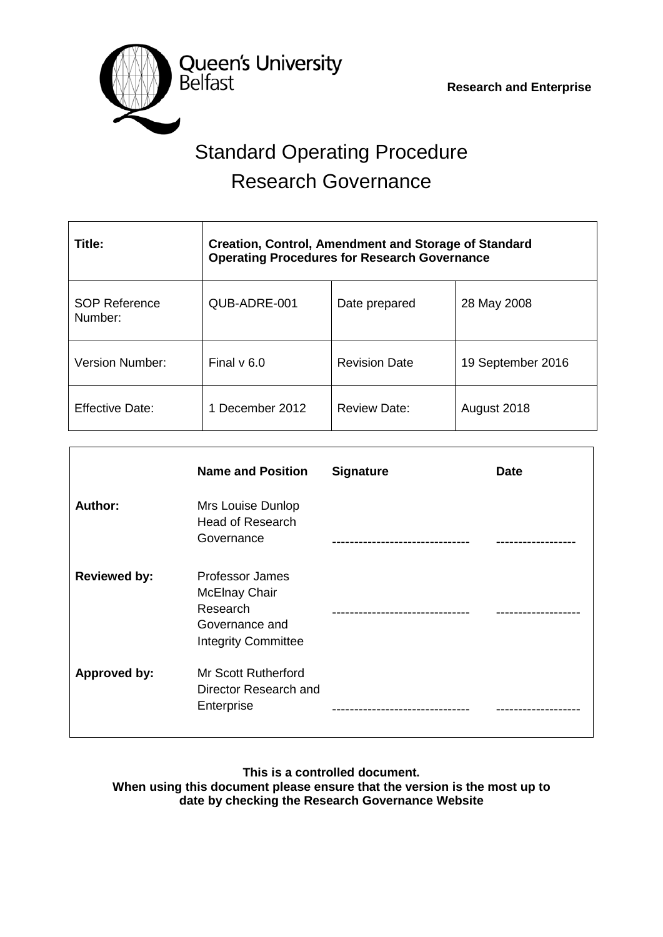**Queen's University**<br>Belfast

 **Research and Enterprise**

# Standard Operating Procedure Research Governance

| Title:                          | <b>Creation, Control, Amendment and Storage of Standard</b><br><b>Operating Procedures for Research Governance</b> |                      |                   |  |  |
|---------------------------------|--------------------------------------------------------------------------------------------------------------------|----------------------|-------------------|--|--|
| <b>SOP Reference</b><br>Number: | QUB-ADRE-001                                                                                                       | Date prepared        | 28 May 2008       |  |  |
| Version Number:                 | Final $v$ 6.0                                                                                                      | <b>Revision Date</b> | 19 September 2016 |  |  |
| <b>Effective Date:</b>          | 1 December 2012                                                                                                    | <b>Review Date:</b>  | August 2018       |  |  |

|                     | <b>Name and Position</b>                                                                                   | <b>Signature</b> | <b>Date</b> |
|---------------------|------------------------------------------------------------------------------------------------------------|------------------|-------------|
| Author:             | Mrs Louise Dunlop<br><b>Head of Research</b><br>Governance                                                 |                  |             |
| <b>Reviewed by:</b> | <b>Professor James</b><br><b>McElnay Chair</b><br>Research<br>Governance and<br><b>Integrity Committee</b> |                  |             |
| <b>Approved by:</b> | <b>Mr Scott Rutherford</b><br>Director Research and<br>Enterprise                                          |                  |             |

**This is a controlled document. When using this document please ensure that the version is the most up to date by checking the Research Governance Website**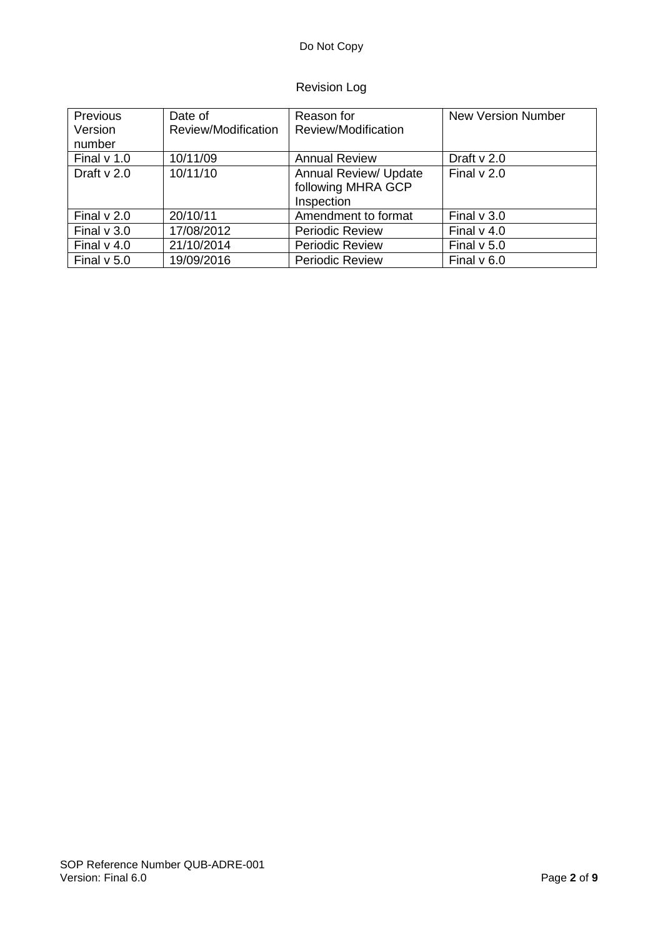# Revision Log

| Previous      | Date of             | Reason for                                                | <b>New Version Number</b> |
|---------------|---------------------|-----------------------------------------------------------|---------------------------|
| Version       | Review/Modification | Review/Modification                                       |                           |
| number        |                     |                                                           |                           |
| Final $v$ 1.0 | 10/11/09            | <b>Annual Review</b>                                      | Draft $v$ 2.0             |
| Draft $v$ 2.0 | 10/11/10            | Annual Review/ Update<br>following MHRA GCP<br>Inspection | Final $v$ 2.0             |
| Final $v$ 2.0 | 20/10/11            | Amendment to format                                       | Final $v$ 3.0             |
| Final $v$ 3.0 | 17/08/2012          | <b>Periodic Review</b>                                    | Final $v$ 4.0             |
| Final $v$ 4.0 | 21/10/2014          | <b>Periodic Review</b>                                    | Final $v$ 5.0             |
| Final $v$ 5.0 | 19/09/2016          | <b>Periodic Review</b>                                    | Final $v$ 6.0             |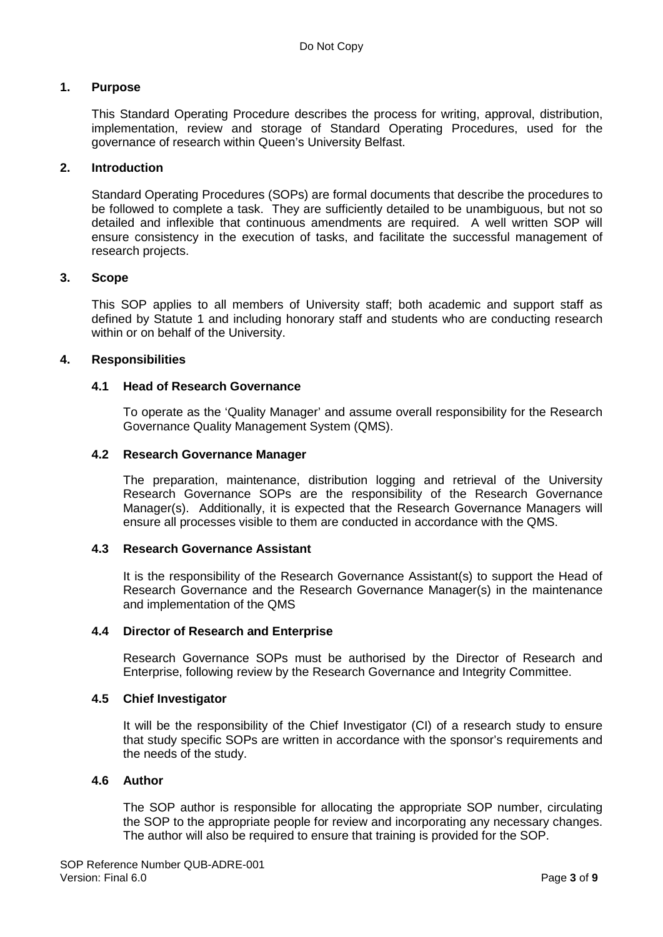# **1. Purpose**

This Standard Operating Procedure describes the process for writing, approval, distribution, implementation, review and storage of Standard Operating Procedures, used for the governance of research within Queen's University Belfast.

# **2. Introduction**

Standard Operating Procedures (SOPs) are formal documents that describe the procedures to be followed to complete a task. They are sufficiently detailed to be unambiguous, but not so detailed and inflexible that continuous amendments are required. A well written SOP will ensure consistency in the execution of tasks, and facilitate the successful management of research projects.

# **3. Scope**

This SOP applies to all members of University staff; both academic and support staff as defined by Statute 1 and including honorary staff and students who are conducting research within or on behalf of the University.

# **4. Responsibilities**

# **4.1 Head of Research Governance**

To operate as the 'Quality Manager' and assume overall responsibility for the Research Governance Quality Management System (QMS).

# **4.2 Research Governance Manager**

The preparation, maintenance, distribution logging and retrieval of the University Research Governance SOPs are the responsibility of the Research Governance Manager(s). Additionally, it is expected that the Research Governance Managers will ensure all processes visible to them are conducted in accordance with the QMS.

## **4.3 Research Governance Assistant**

It is the responsibility of the Research Governance Assistant(s) to support the Head of Research Governance and the Research Governance Manager(s) in the maintenance and implementation of the QMS

## **4.4 Director of Research and Enterprise**

Research Governance SOPs must be authorised by the Director of Research and Enterprise, following review by the Research Governance and Integrity Committee.

# **4.5 Chief Investigator**

It will be the responsibility of the Chief Investigator (CI) of a research study to ensure that study specific SOPs are written in accordance with the sponsor's requirements and the needs of the study.

# **4.6 Author**

The SOP author is responsible for allocating the appropriate SOP number, circulating the SOP to the appropriate people for review and incorporating any necessary changes. The author will also be required to ensure that training is provided for the SOP.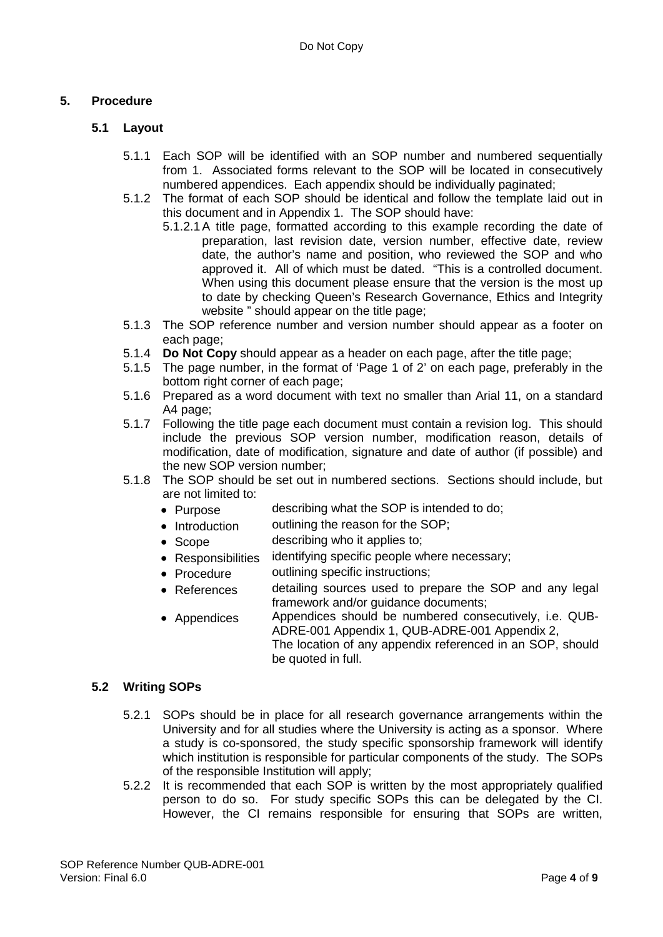# **5. Procedure**

# **5.1 Layout**

- 5.1.1 Each SOP will be identified with an SOP number and numbered sequentially from 1. Associated forms relevant to the SOP will be located in consecutively numbered appendices. Each appendix should be individually paginated;
- 5.1.2 The format of each SOP should be identical and follow the template laid out in this document and in Appendix 1. The SOP should have:
	- 5.1.2.1A title page, formatted according to this example recording the date of preparation, last revision date, version number, effective date, review date, the author's name and position, who reviewed the SOP and who approved it. All of which must be dated. "This is a controlled document. When using this document please ensure that the version is the most up to date by checking Queen's Research Governance, Ethics and Integrity website " should appear on the title page;
- 5.1.3 The SOP reference number and version number should appear as a footer on each page;
- 5.1.4 **Do Not Copy** should appear as a header on each page, after the title page;
- 5.1.5 The page number, in the format of 'Page 1 of 2' on each page, preferably in the bottom right corner of each page;
- 5.1.6 Prepared as a word document with text no smaller than Arial 11, on a standard A4 page:
- 5.1.7 Following the title page each document must contain a revision log. This should include the previous SOP version number, modification reason, details of modification, date of modification, signature and date of author (if possible) and the new SOP version number;
- 5.1.8 The SOP should be set out in numbered sections. Sections should include, but are not limited to:
	- Purpose describing what the SOP is intended to do;
	- Introduction outlining the reason for the SOP;
	- Scope describing who it applies to;
	- Responsibilities identifying specific people where necessary;
	- Procedure outlining specific instructions;
	- References detailing sources used to prepare the SOP and any legal framework and/or guidance documents;
	- Appendices Appendices should be numbered consecutively, i.e. QUB-ADRE-001 Appendix 1, QUB-ADRE-001 Appendix 2, The location of any appendix referenced in an SOP, should be quoted in full.

# **5.2 Writing SOPs**

- 5.2.1 SOPs should be in place for all research governance arrangements within the University and for all studies where the University is acting as a sponsor. Where a study is co-sponsored, the study specific sponsorship framework will identify which institution is responsible for particular components of the study. The SOPs of the responsible Institution will apply;
- 5.2.2 It is recommended that each SOP is written by the most appropriately qualified person to do so. For study specific SOPs this can be delegated by the CI. However, the CI remains responsible for ensuring that SOPs are written,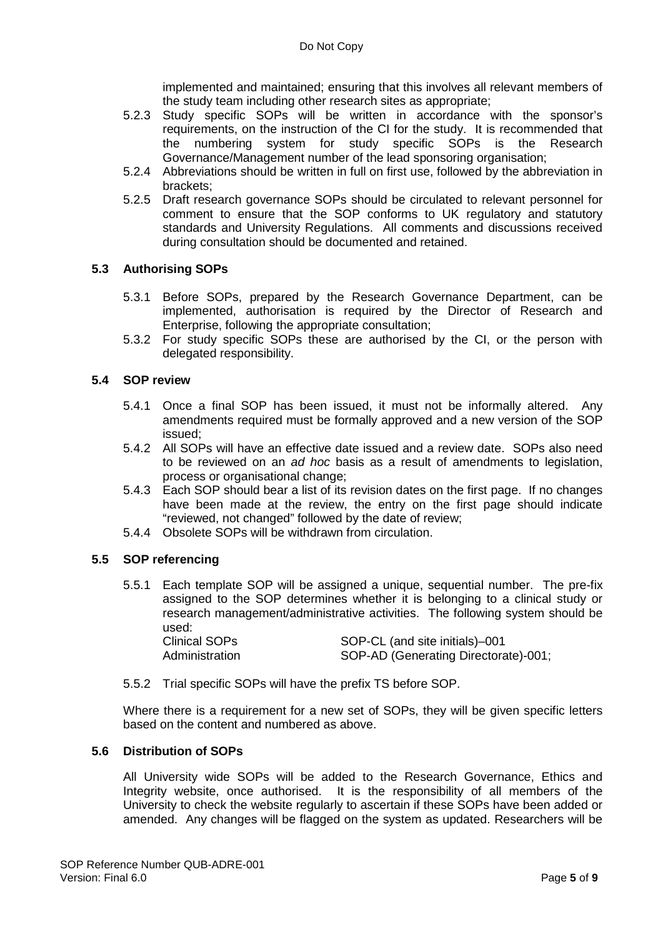implemented and maintained; ensuring that this involves all relevant members of the study team including other research sites as appropriate;

- 5.2.3 Study specific SOPs will be written in accordance with the sponsor's requirements, on the instruction of the CI for the study. It is recommended that the numbering system for study specific SOPs is the Research Governance/Management number of the lead sponsoring organisation;
- 5.2.4 Abbreviations should be written in full on first use, followed by the abbreviation in brackets;
- 5.2.5 Draft research governance SOPs should be circulated to relevant personnel for comment to ensure that the SOP conforms to UK regulatory and statutory standards and University Regulations. All comments and discussions received during consultation should be documented and retained.

# **5.3 Authorising SOPs**

- 5.3.1 Before SOPs, prepared by the Research Governance Department, can be implemented, authorisation is required by the Director of Research and Enterprise, following the appropriate consultation;
- 5.3.2 For study specific SOPs these are authorised by the CI, or the person with delegated responsibility.

## **5.4 SOP review**

- 5.4.1 Once a final SOP has been issued, it must not be informally altered. Any amendments required must be formally approved and a new version of the SOP issued;
- 5.4.2 All SOPs will have an effective date issued and a review date. SOPs also need to be reviewed on an *ad hoc* basis as a result of amendments to legislation, process or organisational change;
- 5.4.3 Each SOP should bear a list of its revision dates on the first page. If no changes have been made at the review, the entry on the first page should indicate "reviewed, not changed" followed by the date of review;
- 5.4.4 Obsolete SOPs will be withdrawn from circulation.

## **5.5 SOP referencing**

- 5.5.1 Each template SOP will be assigned a unique, sequential number. The pre-fix assigned to the SOP determines whether it is belonging to a clinical study or research management/administrative activities. The following system should be used: Clinical SOPs SOP-CL (and site initials)–001 Administration SOP-AD (Generating Directorate)-001;
- 5.5.2 Trial specific SOPs will have the prefix TS before SOP.

Where there is a requirement for a new set of SOPs, they will be given specific letters based on the content and numbered as above.

# **5.6 Distribution of SOPs**

All University wide SOPs will be added to the Research Governance, Ethics and Integrity website, once authorised. It is the responsibility of all members of the University to check the website regularly to ascertain if these SOPs have been added or amended. Any changes will be flagged on the system as updated. Researchers will be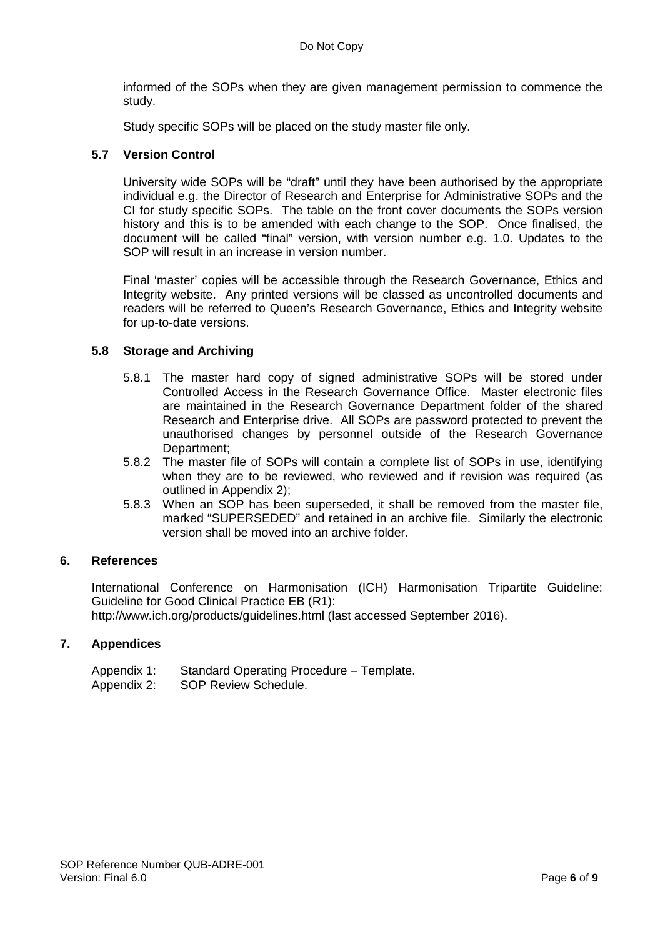informed of the SOPs when they are given management permission to commence the study.

Study specific SOPs will be placed on the study master file only.

# **5.7 Version Control**

University wide SOPs will be "draft" until they have been authorised by the appropriate individual e.g. the Director of Research and Enterprise for Administrative SOPs and the CI for study specific SOPs. The table on the front cover documents the SOPs version history and this is to be amended with each change to the SOP. Once finalised, the document will be called "final" version, with version number e.g. 1.0. Updates to the SOP will result in an increase in version number.

Final 'master' copies will be accessible through the Research Governance, Ethics and Integrity website. Any printed versions will be classed as uncontrolled documents and readers will be referred to Queen's Research Governance, Ethics and Integrity website for up-to-date versions.

# **5.8 Storage and Archiving**

- 5.8.1 The master hard copy of signed administrative SOPs will be stored under Controlled Access in the Research Governance Office. Master electronic files are maintained in the Research Governance Department folder of the shared Research and Enterprise drive. All SOPs are password protected to prevent the unauthorised changes by personnel outside of the Research Governance Department;
- 5.8.2 The master file of SOPs will contain a complete list of SOPs in use, identifying when they are to be reviewed, who reviewed and if revision was required (as outlined in Appendix 2);
- 5.8.3 When an SOP has been superseded, it shall be removed from the master file, marked "SUPERSEDED" and retained in an archive file. Similarly the electronic version shall be moved into an archive folder.

## **6. References**

International Conference on Harmonisation (ICH) Harmonisation Tripartite Guideline: Guideline for Good Clinical Practice EB (R1):

http://www.ich.org/products/guidelines.html (last accessed September 2016).

# **7. Appendices**

| Appendix 1: | Standard Operating Procedure - Template. |
|-------------|------------------------------------------|
| Appendix 2: | SOP Review Schedule.                     |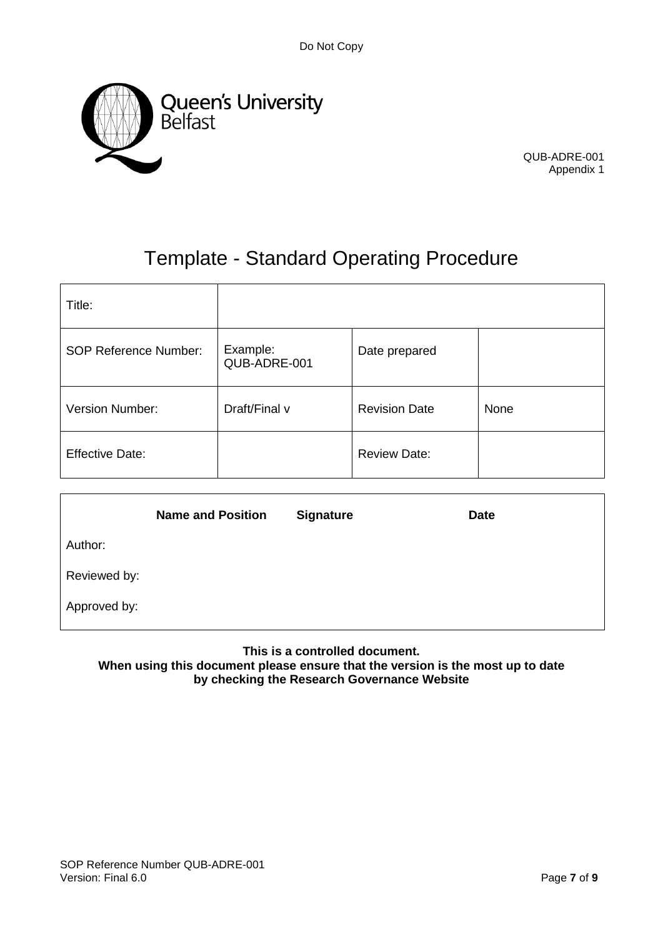

QUB-ADRE-001 Appendix 1

# Template - Standard Operating Procedure

| Title:                       |                          |                      |      |
|------------------------------|--------------------------|----------------------|------|
| <b>SOP Reference Number:</b> | Example:<br>QUB-ADRE-001 | Date prepared        |      |
| Version Number:              | Draft/Final v            | <b>Revision Date</b> | None |
| <b>Effective Date:</b>       |                          | <b>Review Date:</b>  |      |

|              | <b>Name and Position</b> | <b>Signature</b> | <b>Date</b> |
|--------------|--------------------------|------------------|-------------|
| Author:      |                          |                  |             |
| Reviewed by: |                          |                  |             |
| Approved by: |                          |                  |             |

**This is a controlled document.**

**When using this document please ensure that the version is the most up to date by checking the Research Governance Website**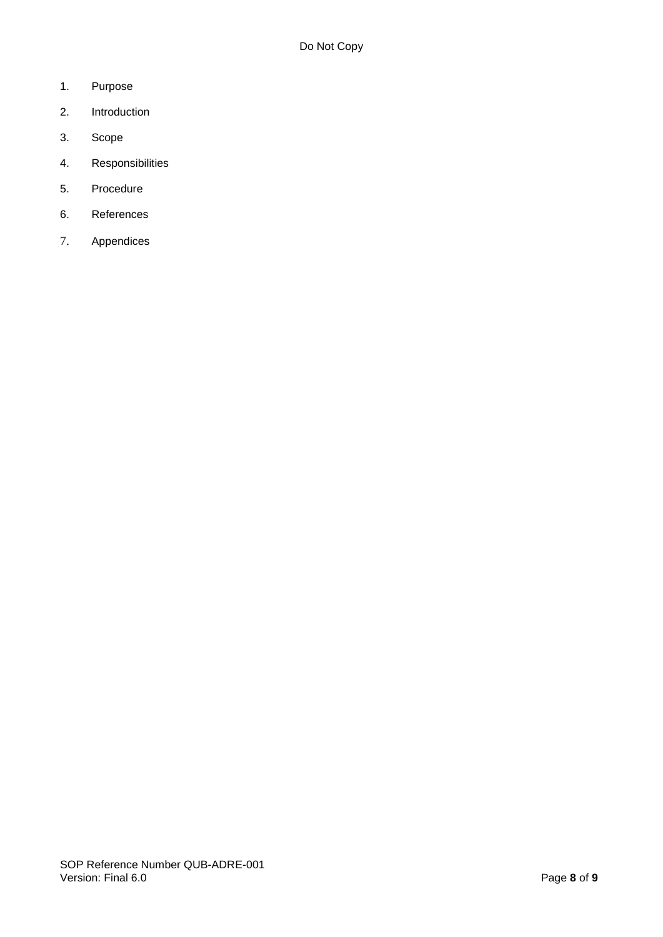- 1. Purpose
- 2. Introduction
- 3. Scope
- 4. Responsibilities
- 5. Procedure
- 6. References
- 7. Appendices